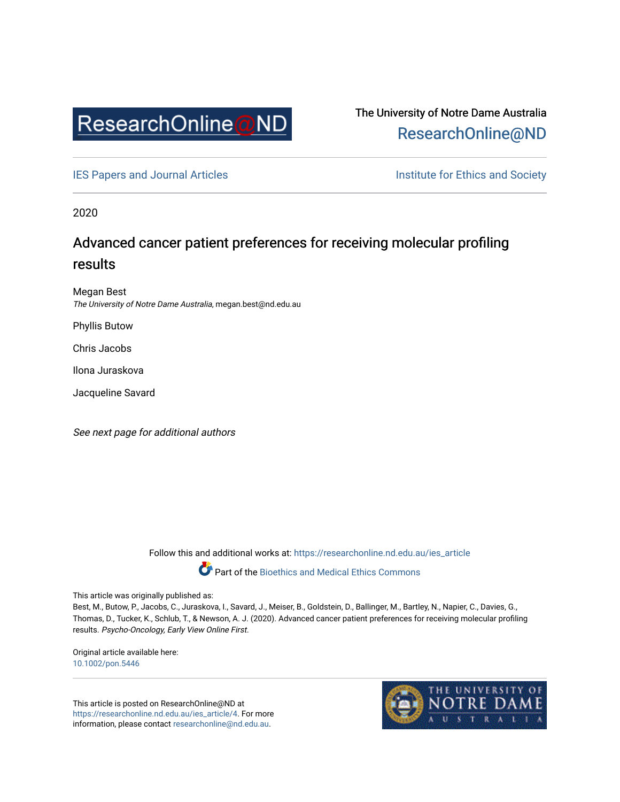

The University of Notre Dame Australia [ResearchOnline@ND](https://researchonline.nd.edu.au/) 

[IES Papers and Journal Articles](https://researchonline.nd.edu.au/ies_article) **Institute for Ethics and Society** Institute for Ethics and Society

2020

# Advanced cancer patient preferences for receiving molecular profiling results

Megan Best The University of Notre Dame Australia, megan.best@nd.edu.au

Phyllis Butow

Chris Jacobs

Ilona Juraskova

Jacqueline Savard

See next page for additional authors

Follow this and additional works at: [https://researchonline.nd.edu.au/ies\\_article](https://researchonline.nd.edu.au/ies_article?utm_source=researchonline.nd.edu.au%2Fies_article%2F4&utm_medium=PDF&utm_campaign=PDFCoverPages) 

Part of the [Bioethics and Medical Ethics Commons](http://network.bepress.com/hgg/discipline/650?utm_source=researchonline.nd.edu.au%2Fies_article%2F4&utm_medium=PDF&utm_campaign=PDFCoverPages)

This article was originally published as:

Best, M., Butow, P., Jacobs, C., Juraskova, I., Savard, J., Meiser, B., Goldstein, D., Ballinger, M., Bartley, N., Napier, C., Davies, G., Thomas, D., Tucker, K., Schlub, T., & Newson, A. J. (2020). Advanced cancer patient preferences for receiving molecular profiling results. Psycho-Oncology, Early View Online First.

Original article available here: [10.1002/pon.5446](https://doi.org/10.1002/pon.5446) 

This article is posted on ResearchOnline@ND at [https://researchonline.nd.edu.au/ies\\_article/4.](https://researchonline.nd.edu.au/ies_article/4) For more information, please contact [researchonline@nd.edu.au.](mailto:researchonline@nd.edu.au)

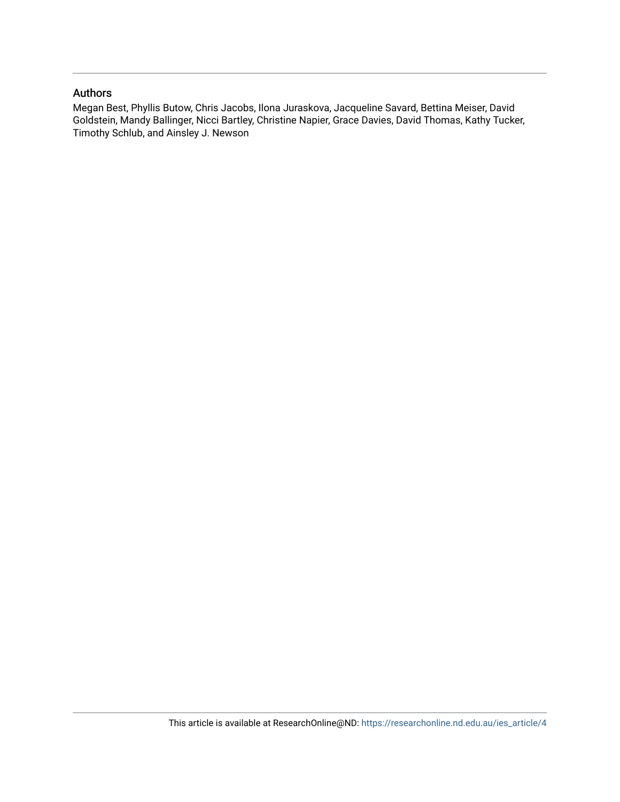# Authors

Megan Best, Phyllis Butow, Chris Jacobs, Ilona Juraskova, Jacqueline Savard, Bettina Meiser, David Goldstein, Mandy Ballinger, Nicci Bartley, Christine Napier, Grace Davies, David Thomas, Kathy Tucker, Timothy Schlub, and Ainsley J. Newson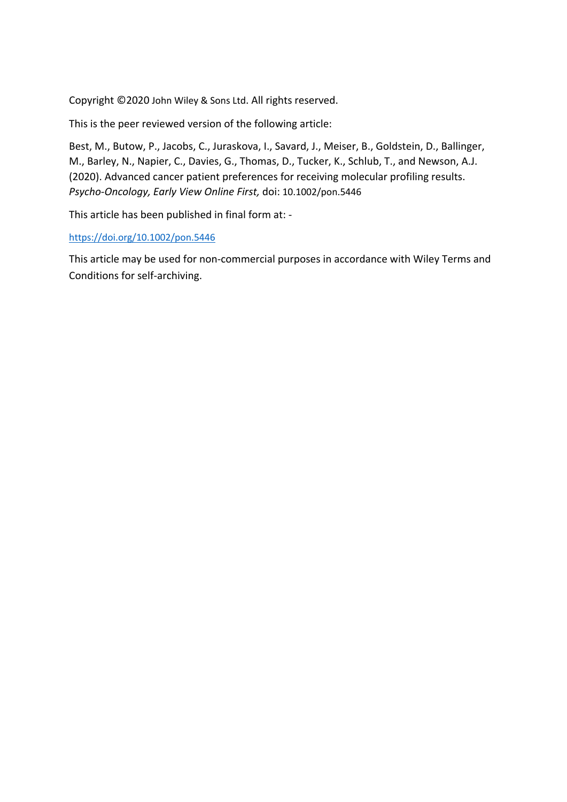Copyright ©2020 John Wiley & Sons Ltd. All rights reserved.

This is the peer reviewed version of the following article:

Best, M., Butow, P., Jacobs, C., Juraskova, I., Savard, J., Meiser, B., Goldstein, D., Ballinger, M., Barley, N., Napier, C., Davies, G., Thomas, D., Tucker, K., Schlub, T., and Newson, A.J. (2020). Advanced cancer patient preferences for receiving molecular profiling results. *Psycho-Oncology, Early View Online First,* doi: 10.1002/pon.5446

This article has been published in final form at: -

https://doi.org/10.1002/pon.5446

This article may be used for non-commercial purposes in accordance with Wiley Terms and Conditions for self-archiving.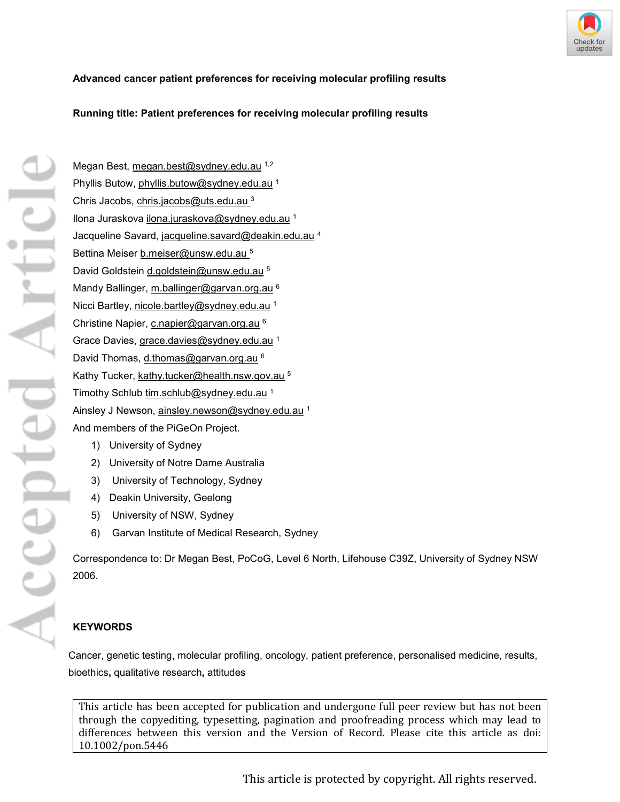

# **Advanced cancer patient preferences for receiving molecular profiling results**

# **Running title: Patient preferences for receiving molecular profiling results**

Megan Best, [megan.best@sydney.edu.au](mailto:megan.best@sydney.edu.au) 1,2 Phyllis Butow, [phyllis.butow@sydney.edu.au](mailto:phyllis.butow@sydney.edu.au)<sup>1</sup> Chris Jacobs, [chris.jacobs@uts.edu.au](mailto:chris.jacobs@uts.edu.au) 3 Ilona Juraskova [ilona.juraskova@sydney.edu.au](mailto:ilona.juraskova@sydney.edu.au) <sup>1</sup> Jacqueline Savard, [jacqueline.savard@deakin.edu.au](mailto:jacqueline.savard@deakin.edu.au) <sup>4</sup> Bettina Meiser [b.meiser@unsw.edu.au](mailto:b.meiser@unsw.edu.au) 5 David Goldstein [d.goldstein@unsw.edu.au](mailto:d.goldstein@unsw.edu.au) <sup>5</sup> Mandy Ballinger, [m.ballinger@garvan.org.au](mailto:m.ballinger@garvan.org.au) <sup>6</sup> Nicci Bartley, [nicole.bartley@sydney.edu.au](mailto:nicole.bartley@sydney.edu.au) <sup>1</sup> Christine Napier, [c.napier@garvan.org.au](mailto:c.napier@garvan.org.au) <sup>6</sup> Grace Davies, [grace.davies@sydney.edu.au](mailto:grace.davies@sydney.edu.au) 1 David Thomas, [d.thomas@garvan.org.au](mailto:d.thomas@garvan.org.au) <sup>6</sup> Kathy Tucker, [kathy.tucker@health.nsw.gov.au](mailto:kathy.tucker@health.nsw.gov.au) <sup>5</sup> Timothy Schlub [tim.schlub@sydney.edu.au](mailto:tim.schlub@sydney.edu.au) <sup>1</sup> Ainsley J Newson, [ainsley.newson@sydney.edu.au](mailto:ainsley.newson@sydney.edu.au)<sup>1</sup> And members of the PiGeOn Project.

- 1) University of Sydney
- 2) University of Notre Dame Australia
- 3) University of Technology, Sydney
- 4) Deakin University, Geelong
- 5) University of NSW, Sydney
- 6) Garvan Institute of Medical Research, Sydney

Correspondence to: Dr Megan Best, PoCoG, Level 6 North, Lifehouse C39Z, University of Sydney NSW 2006.

# **KEYWORDS**

Cancer, genetic testing, molecular profiling, oncology, patient preference, personalised medicine, results, bioethics**,** qualitative research**,** attitudes

[This article has been accepted for publication and undergone full peer review but has not been](http://dx.doi.org/10.1002/pon.5446)  [through the copyediting, typesetting, pagination and proofreading process which may lead to](http://dx.doi.org/10.1002/pon.5446)  [differences between this version and the Version of Record. Please cite this article as doi:](http://dx.doi.org/10.1002/pon.5446)  [10.1002/pon.5446](http://dx.doi.org/10.1002/pon.5446)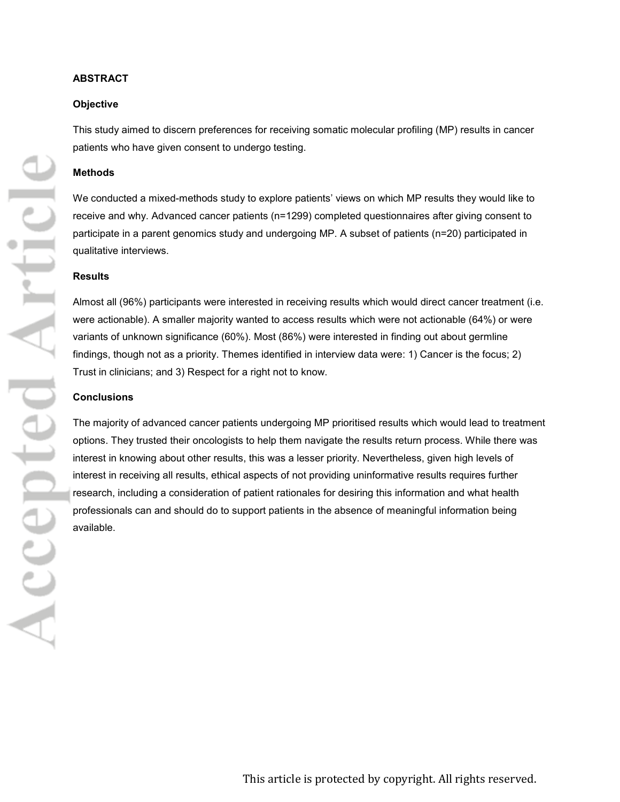### **ABSTRACT**

#### **Objective**

This study aimed to discern preferences for receiving somatic molecular profiling (MP) results in cancer patients who have given consent to undergo testing.

# **Methods**

We conducted a mixed-methods study to explore patients' views on which MP results they would like to receive and why. Advanced cancer patients (n=1299) completed questionnaires after giving consent to participate in a parent genomics study and undergoing MP. A subset of patients (n=20) participated in qualitative interviews.

#### **Results**

Almost all (96%) participants were interested in receiving results which would direct cancer treatment (i.e. were actionable). A smaller majority wanted to access results which were not actionable (64%) or were variants of unknown significance (60%). Most (86%) were interested in finding out about germline findings, though not as a priority. Themes identified in interview data were: 1) Cancer is the focus; 2) Trust in clinicians; and 3) Respect for a right not to know.

#### **Conclusions**

The majority of advanced cancer patients undergoing MP prioritised results which would lead to treatment options. They trusted their oncologists to help them navigate the results return process. While there was interest in knowing about other results, this was a lesser priority. Nevertheless, given high levels of interest in receiving all results, ethical aspects of not providing uninformative results requires further research, including a consideration of patient rationales for desiring this information and what health professionals can and should do to support patients in the absence of meaningful information being available.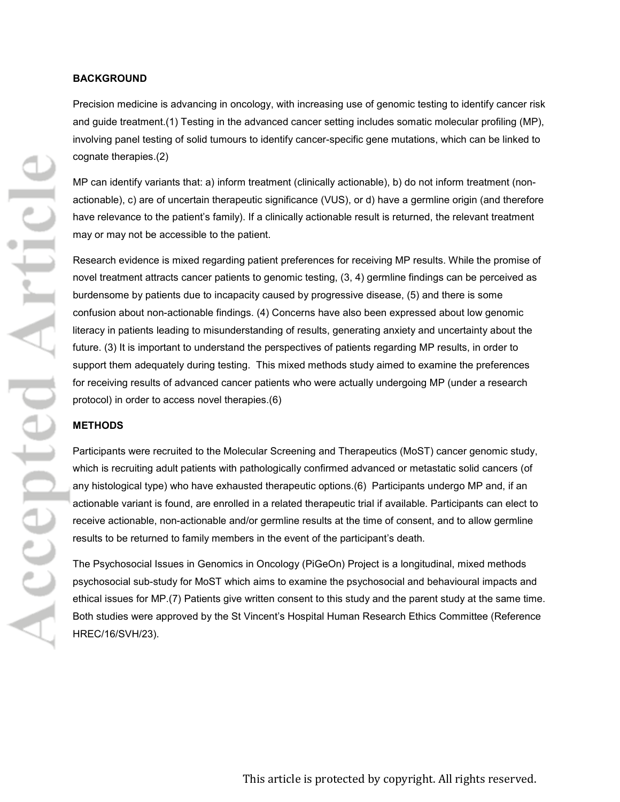# **BACKGROUND**

Precision medicine is advancing in oncology, with increasing use of genomic testing to identify cancer risk and guide treatment.[\(1\)](#page-14-0) Testing in the advanced cancer setting includes somatic molecular profiling (MP), involving panel testing of solid tumours to identify cancer-specific gene mutations, which can be linked to cognate therapies.[\(2\)](#page-14-1)

MP can identify variants that: a) inform treatment (clinically actionable), b) do not inform treatment (nonactionable), c) are of uncertain therapeutic significance (VUS), or d) have a germline origin (and therefore have relevance to the patient's family). If a clinically actionable result is returned, the relevant treatment may or may not be accessible to the patient.

Research evidence is mixed regarding patient preferences for receiving MP results. While the promise of novel treatment attracts cancer patients to genomic testing, [\(3,](#page-14-2) [4\)](#page-14-3) germline findings can be perceived as burdensome by patients due to incapacity caused by progressive disease, [\(5\)](#page-14-4) and there is some confusion about non-actionable findings. [\(4\)](#page-14-3) Concerns have also been expressed about low genomic literacy in patients leading to misunderstanding of results, generating anxiety and uncertainty about the future. [\(3\)](#page-14-2) It is important to understand the perspectives of patients regarding MP results, in order to support them adequately during testing. This mixed methods study aimed to examine the preferences for receiving results of advanced cancer patients who were actually undergoing MP (under a research protocol) in order to access novel therapies.[\(6\)](#page-14-5)

# **METHODS**

Participants were recruited to the Molecular Screening and Therapeutics (MoST) cancer genomic study, which is recruiting adult patients with pathologically confirmed advanced or metastatic solid cancers (of any histological type) who have exhausted therapeutic options.[\(6\)](#page-14-5) Participants undergo MP and, if an actionable variant is found, are enrolled in a related therapeutic trial if available. Participants can elect to receive actionable, non-actionable and/or germline results at the time of consent, and to allow germline results to be returned to family members in the event of the participant's death.

The Psychosocial Issues in Genomics in Oncology (PiGeOn) Project is a longitudinal, mixed methods psychosocial sub-study for MoST which aims to examine the psychosocial and behavioural impacts and ethical issues for MP.[\(7\)](#page-14-6) Patients give written consent to this study and the parent study at the same time. Both studies were approved by the St Vincent's Hospital Human Research Ethics Committee (Reference HREC/16/SVH/23).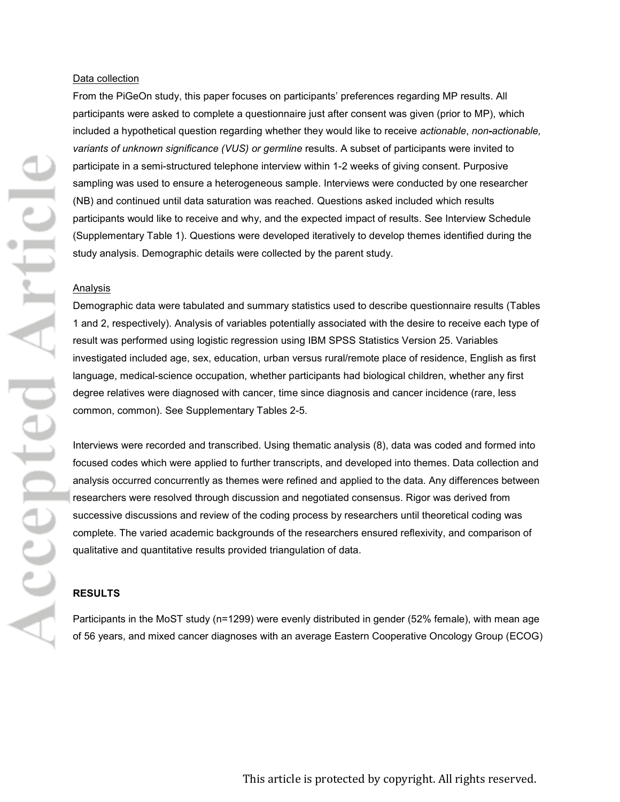#### Data collection

From the PiGeOn study, this paper focuses on participants' preferences regarding MP results. All participants were asked to complete a questionnaire just after consent was given (prior to MP), which included a hypothetical question regarding whether they would like to receive *actionable*, *non-actionable, variants of unknown significance (VUS) or germline* results. A subset of participants were invited to participate in a semi-structured telephone interview within 1-2 weeks of giving consent. Purposive sampling was used to ensure a heterogeneous sample. Interviews were conducted by one researcher (NB) and continued until data saturation was reached. Questions asked included which results participants would like to receive and why, and the expected impact of results. See Interview Schedule (Supplementary Table 1). Questions were developed iteratively to develop themes identified during the study analysis. Demographic details were collected by the parent study.

#### Analysis

Demographic data were tabulated and summary statistics used to describe questionnaire results (Tables 1 and 2, respectively). Analysis of variables potentially associated with the desire to receive each type of result was performed using logistic regression using IBM SPSS Statistics Version 25. Variables investigated included age, sex, education, urban versus rural/remote place of residence, English as first language, medical-science occupation, whether participants had biological children, whether any first degree relatives were diagnosed with cancer, time since diagnosis and cancer incidence (rare, less common, common). See Supplementary Tables 2-5.

Interviews were recorded and transcribed. Using thematic analysis [\(8\)](#page-14-7), data was coded and formed into focused codes which were applied to further transcripts, and developed into themes. Data collection and analysis occurred concurrently as themes were refined and applied to the data. Any differences between researchers were resolved through discussion and negotiated consensus. Rigor was derived from successive discussions and review of the coding process by researchers until theoretical coding was complete. The varied academic backgrounds of the researchers ensured reflexivity, and comparison of qualitative and quantitative results provided triangulation of data.

#### **RESULTS**

Participants in the MoST study (n=1299) were evenly distributed in gender (52% female), with mean age of 56 years, and mixed cancer diagnoses with an average Eastern Cooperative Oncology Group (ECOG)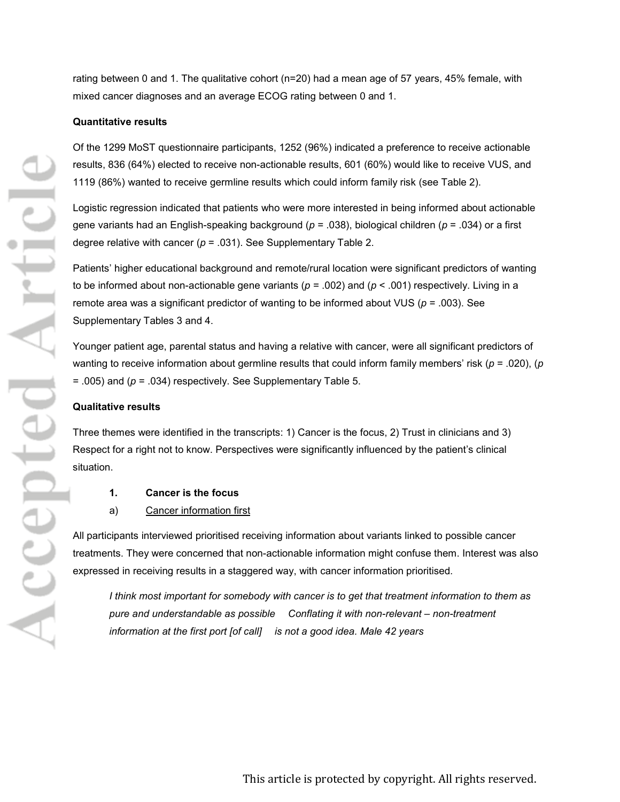rating between 0 and 1. The qualitative cohort (n=20) had a mean age of 57 years, 45% female, with mixed cancer diagnoses and an average ECOG rating between 0 and 1.

#### **Quantitative results**

Of the 1299 MoST questionnaire participants, 1252 (96%) indicated a preference to receive actionable results, 836 (64%) elected to receive non-actionable results, 601 (60%) would like to receive VUS, and 1119 (86%) wanted to receive germline results which could inform family risk (see Table 2).

Logistic regression indicated that patients who were more interested in being informed about actionable gene variants had an English-speaking background (*p* = .038), biological children (*p* = .034) or a first degree relative with cancer  $(p = .031)$ . See Supplementary Table 2.

Patients' higher educational background and remote/rural location were significant predictors of wanting to be informed about non-actionable gene variants (*p* = .002) and (*p* < .001) respectively. Living in a remote area was a significant predictor of wanting to be informed about VUS (*p* = .003). See Supplementary Tables 3 and 4.

Younger patient age, parental status and having a relative with cancer, were all significant predictors of wanting to receive information about germline results that could inform family members' risk (*p* = .020), (*p*  $=$  .005) and ( $p = 0.034$ ) respectively. See Supplementary Table 5.

#### **Qualitative results**

Three themes were identified in the transcripts: 1) Cancer is the focus, 2) Trust in clinicians and 3) Respect for a right not to know. Perspectives were significantly influenced by the patient's clinical situation.

- **1. Cancer is the focus**
- a) Cancer information first

All participants interviewed prioritised receiving information about variants linked to possible cancer treatments. They were concerned that non-actionable information might confuse them. Interest was also expressed in receiving results in a staggered way, with cancer information prioritised.

*I think most important for somebody with cancer is to get that treatment information to them as pure and understandable as possible Conflating it with non-relevant – non-treatment information at the first port [of call] is not a good idea. Male 42 years*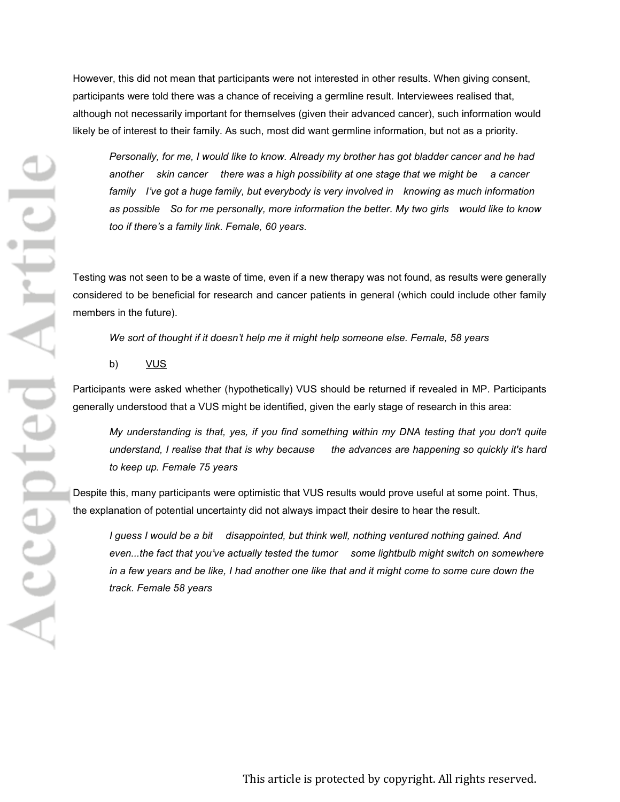However, this did not mean that participants were not interested in other results. When giving consent, participants were told there was a chance of receiving a germline result. Interviewees realised that, although not necessarily important for themselves (given their advanced cancer), such information would likely be of interest to their family. As such, most did want germline information, but not as a priority.

*Personally, for me, I would like to know. Already my brother has got bladder cancer and he had another skin cancer there was a high possibility at one stage that we might be a cancer family I've got a huge family, but everybody is very involved in knowing as much information as possible So for me personally, more information the better. My two girls would like to know too if there's a family link. Female, 60 years.*

Testing was not seen to be a waste of time, even if a new therapy was not found, as results were generally considered to be beneficial for research and cancer patients in general (which could include other family members in the future).

*We sort of thought if it doesn't help me it might help someone else. Female, 58 years*

b) VUS

Participants were asked whether (hypothetically) VUS should be returned if revealed in MP. Participants generally understood that a VUS might be identified, given the early stage of research in this area:

*My understanding is that, yes, if you find something within my DNA testing that you don't quite understand, I realise that that is why because the advances are happening so quickly it's hard to keep up. Female 75 years*

Despite this, many participants were optimistic that VUS results would prove useful at some point. Thus, the explanation of potential uncertainty did not always impact their desire to hear the result.

*I guess I would be a bit disappointed, but think well, nothing ventured nothing gained. And even...the fact that you've actually tested the tumor some lightbulb might switch on somewhere in a few years and be like, I had another one like that and it might come to some cure down the track. Female 58 years*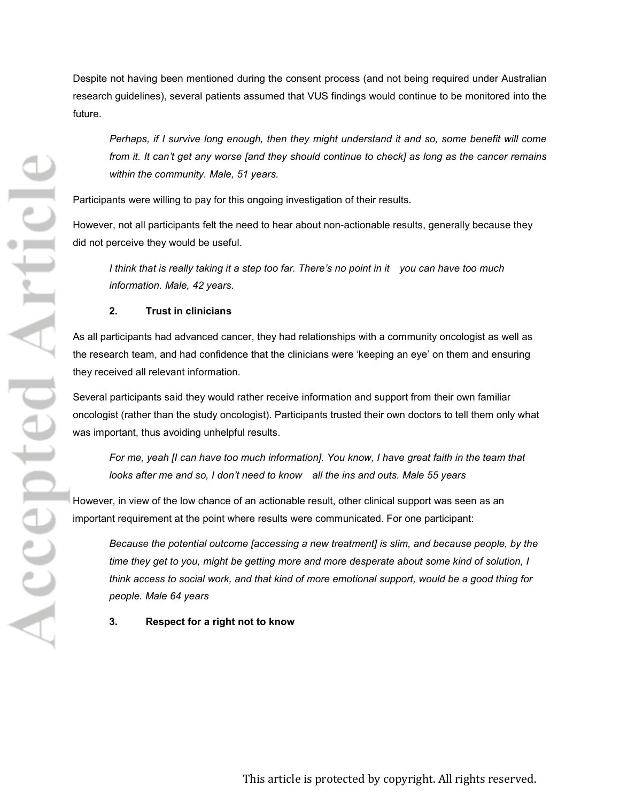Despite not having been mentioned during the consent process (and not being required under Australian research guidelines), several patients assumed that VUS findings would continue to be monitored into the future.

*Perhaps, if I survive long enough, then they might understand it and so, some benefit will come from it. It can't get any worse [and they should continue to check] as long as the cancer remains within the community. Male, 51 years.*

Participants were willing to pay for this ongoing investigation of their results.

However, not all participants felt the need to hear about non-actionable results, generally because they did not perceive they would be useful.

*I think that is really taking it a step too far. There's no point in it you can have too much information. Male, 42 years.*

# **2. Trust in clinicians**

As all participants had advanced cancer, they had relationships with a community oncologist as well as the research team, and had confidence that the clinicians were 'keeping an eye' on them and ensuring they received all relevant information.

Several participants said they would rather receive information and support from their own familiar oncologist (rather than the study oncologist). Participants trusted their own doctors to tell them only what was important, thus avoiding unhelpful results.

*For me, yeah [I can have too much information]. You know, I have great faith in the team that looks after me and so, I don't need to know all the ins and outs. Male 55 years*

However, in view of the low chance of an actionable result, other clinical support was seen as an important requirement at the point where results were communicated. For one participant:

*Because the potential outcome [accessing a new treatment] is slim, and because people, by the time they get to you, might be getting more and more desperate about some kind of solution, I think access to social work, and that kind of more emotional support, would be a good thing for people. Male 64 years*

**3. Respect for a right not to know**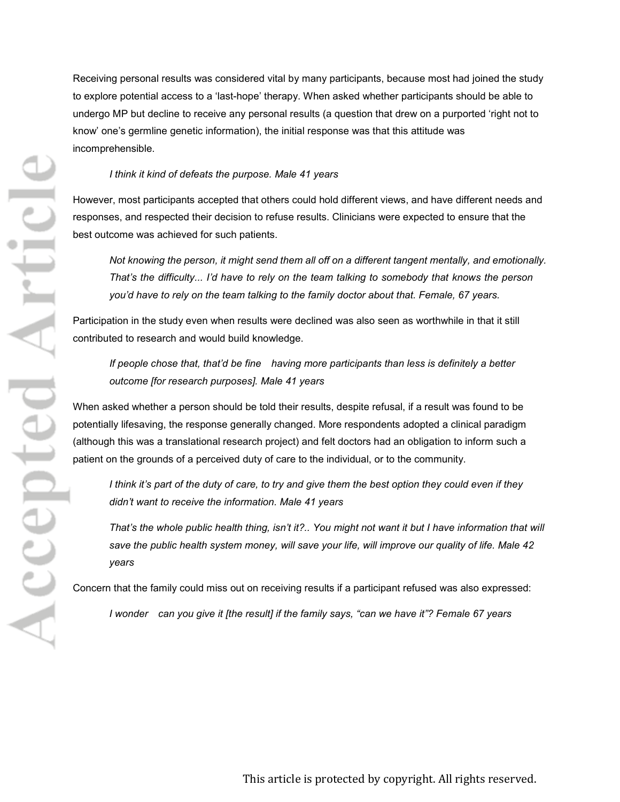Receiving personal results was considered vital by many participants, because most had joined the study to explore potential access to a 'last-hope' therapy. When asked whether participants should be able to undergo MP but decline to receive any personal results (a question that drew on a purported 'right not to know' one's germline genetic information), the initial response was that this attitude was incomprehensible.

### *I think it kind of defeats the purpose. Male 41 years*

However, most participants accepted that others could hold different views, and have different needs and responses, and respected their decision to refuse results. Clinicians were expected to ensure that the best outcome was achieved for such patients.

*Not knowing the person, it might send them all off on a different tangent mentally, and emotionally. That's the difficulty... I'd have to rely on the team talking to somebody that knows the person you'd have to rely on the team talking to the family doctor about that. Female, 67 years.*

Participation in the study even when results were declined was also seen as worthwhile in that it still contributed to research and would build knowledge.

*If people chose that, that'd be fine having more participants than less is definitely a better outcome [for research purposes]. Male 41 years*

When asked whether a person should be told their results, despite refusal, if a result was found to be potentially lifesaving, the response generally changed. More respondents adopted a clinical paradigm (although this was a translational research project) and felt doctors had an obligation to inform such a patient on the grounds of a perceived duty of care to the individual, or to the community.

*I think it's part of the duty of care, to try and give them the best option they could even if they didn't want to receive the information. Male 41 years*

*That's the whole public health thing, isn't it?.. You might not want it but I have information that will save the public health system money, will save your life, will improve our quality of life. Male 42 years*

Concern that the family could miss out on receiving results if a participant refused was also expressed:

*I wonder can you give it [the result] if the family says, "can we have it"? Female 67 years*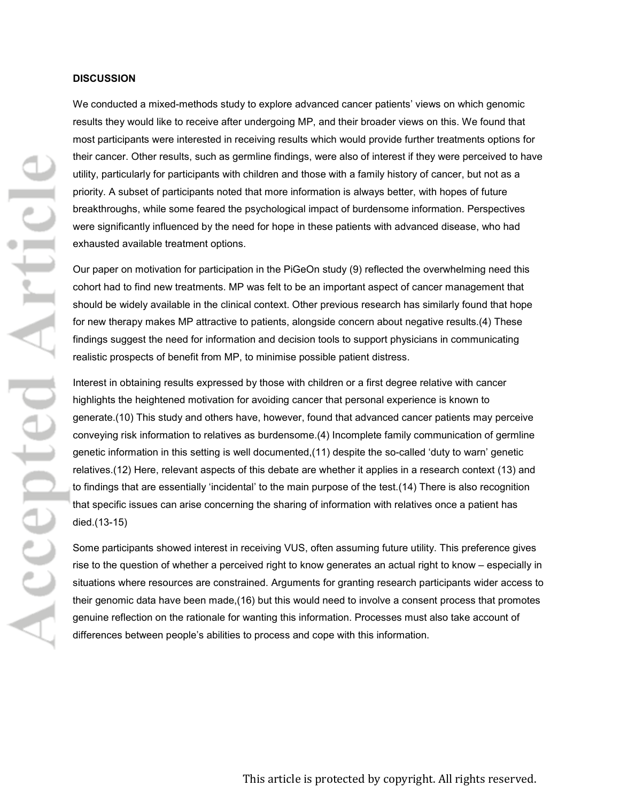### **DISCUSSION**

We conducted a mixed-methods study to explore advanced cancer patients' views on which genomic results they would like to receive after undergoing MP, and their broader views on this. We found that most participants were interested in receiving results which would provide further treatments options for their cancer. Other results, such as germline findings, were also of interest if they were perceived to have utility, particularly for participants with children and those with a family history of cancer, but not as a priority. A subset of participants noted that more information is always better, with hopes of future breakthroughs, while some feared the psychological impact of burdensome information. Perspectives were significantly influenced by the need for hope in these patients with advanced disease, who had exhausted available treatment options.

Our paper on motivation for participation in the PiGeOn study [\(9\)](#page-14-8) reflected the overwhelming need this cohort had to find new treatments. MP was felt to be an important aspect of cancer management that should be widely available in the clinical context. Other previous research has similarly found that hope for new therapy makes MP attractive to patients, alongside concern about negative results.[\(4\)](#page-14-3) These findings suggest the need for information and decision tools to support physicians in communicating realistic prospects of benefit from MP, to minimise possible patient distress.

Interest in obtaining results expressed by those with children or a first degree relative with cancer highlights the heightened motivation for avoiding cancer that personal experience is known to generate.[\(10\)](#page-14-9) This study and others have, however, found that advanced cancer patients may perceive conveying risk information to relatives as burdensome.[\(4\)](#page-14-3) Incomplete family communication of germline genetic information in this setting is well documented,[\(11\)](#page-14-10) despite the so-called 'duty to warn' genetic relatives.[\(12\)](#page-14-11) Here, relevant aspects of this debate are whether it applies in a research context [\(13\)](#page-14-12) and to findings that are essentially 'incidental' to the main purpose of the test.[\(14\)](#page-14-13) There is also recognition that specific issues can arise concerning the sharing of information with relatives once a patient has died.[\(13-15\)](#page-14-12)

Some participants showed interest in receiving VUS, often assuming future utility. This preference gives rise to the question of whether a perceived right to know generates an actual right to know – especially in situations where resources are constrained. Arguments for granting research participants wider access to their genomic data have been made,[\(16\)](#page-15-0) but this would need to involve a consent process that promotes genuine reflection on the rationale for wanting this information. Processes must also take account of differences between people's abilities to process and cope with this information.

Accepted Articl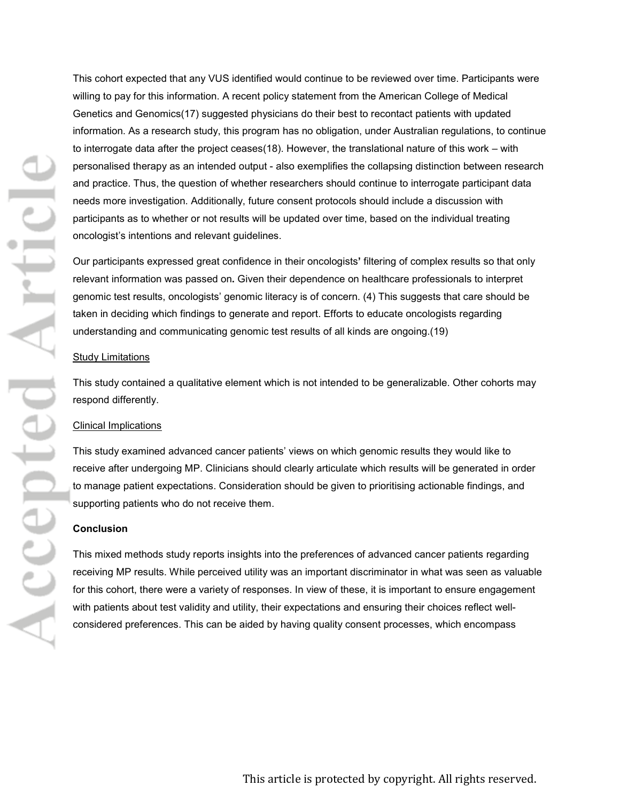This cohort expected that any VUS identified would continue to be reviewed over time. Participants were willing to pay for this information. A recent policy statement from the American College of Medical Genetics and Genomics[\(17\)](#page-15-1) suggested physicians do their best to recontact patients with updated information. As a research study, this program has no obligation, under Australian regulations, to continue to interrogate data after the project ceases[\(18\)](#page-15-2). However, the translational nature of this work – with personalised therapy as an intended output - also exemplifies the collapsing distinction between research and practice. Thus, the question of whether researchers should continue to interrogate participant data needs more investigation. Additionally, future consent protocols should include a discussion with participants as to whether or not results will be updated over time, based on the individual treating oncologist's intentions and relevant guidelines.

Our participants expressed great confidence in their oncologists**'** filtering of complex results so that only relevant information was passed on**.** Given their dependence on healthcare professionals to interpret genomic test results, oncologists' genomic literacy is of concern. [\(4\)](#page-14-3) This suggests that care should be taken in deciding which findings to generate and report. Efforts to educate oncologists regarding understanding and communicating genomic test results of all kinds are ongoing.[\(19\)](#page-15-3)

#### Study Limitations

This study contained a qualitative element which is not intended to be generalizable. Other cohorts may respond differently.

#### Clinical Implications

This study examined advanced cancer patients' views on which genomic results they would like to receive after undergoing MP. Clinicians should clearly articulate which results will be generated in order to manage patient expectations. Consideration should be given to prioritising actionable findings, and supporting patients who do not receive them.

# **Conclusion**

This mixed methods study reports insights into the preferences of advanced cancer patients regarding receiving MP results. While perceived utility was an important discriminator in what was seen as valuable for this cohort, there were a variety of responses. In view of these, it is important to ensure engagement with patients about test validity and utility, their expectations and ensuring their choices reflect wellconsidered preferences. This can be aided by having quality consent processes, which encompass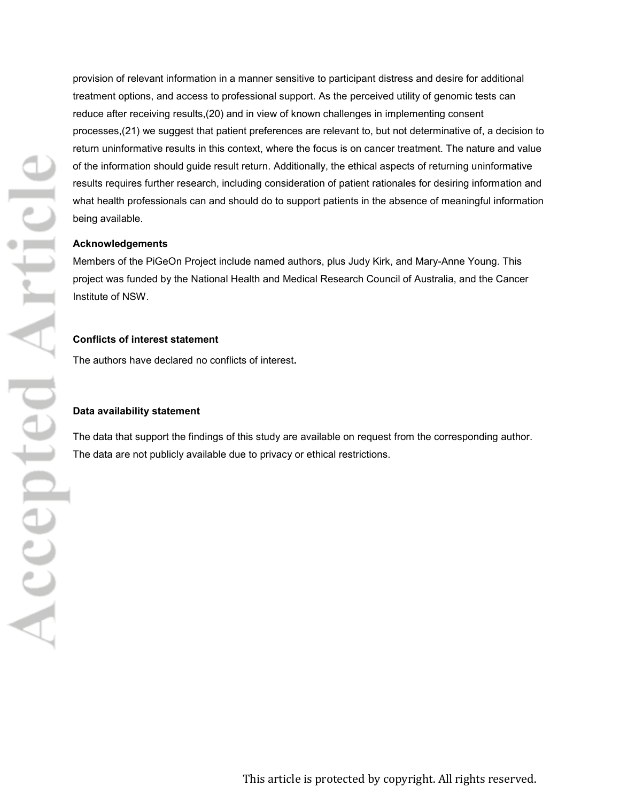provision of relevant information in a manner sensitive to participant distress and desire for additional treatment options, and access to professional support. As the perceived utility of genomic tests can reduce after receiving results,[\(20\)](#page-15-4) and in view of known challenges in implementing consent processes,[\(21\)](#page-15-5) we suggest that patient preferences are relevant to, but not determinative of, a decision to return uninformative results in this context, where the focus is on cancer treatment. The nature and value of the information should guide result return. Additionally, the ethical aspects of returning uninformative results requires further research, including consideration of patient rationales for desiring information and what health professionals can and should do to support patients in the absence of meaningful information being available.

### **Acknowledgements**

Members of the PiGeOn Project include named authors, plus Judy Kirk, and Mary-Anne Young. This project was funded by the National Health and Medical Research Council of Australia, and the Cancer Institute of NSW.

#### **Conflicts of interest statement**

The authors have declared no conflicts of interest**.**

#### **Data availability statement**

The data that support the findings of this study are available on request from the corresponding author. The data are not publicly available due to privacy or ethical restrictions.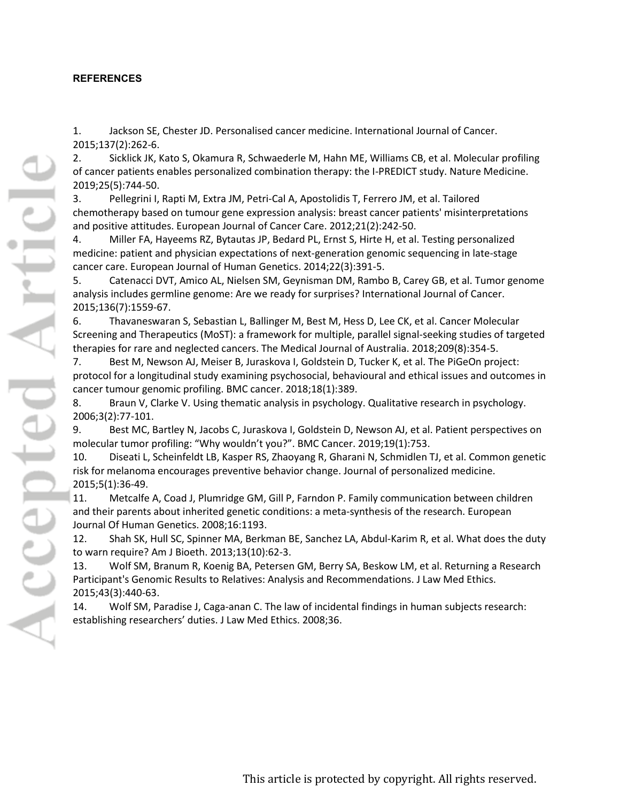# **REFERENCES**

<span id="page-14-0"></span>1. Jackson SE, Chester JD. Personalised cancer medicine. International Journal of Cancer. 2015;137(2):262-6.

<span id="page-14-1"></span>2. Sicklick JK, Kato S, Okamura R, Schwaederle M, Hahn ME, Williams CB, et al. Molecular profiling of cancer patients enables personalized combination therapy: the I-PREDICT study. Nature Medicine. 2019;25(5):744-50.

<span id="page-14-2"></span>3. Pellegrini I, Rapti M, Extra JM, Petri-Cal A, Apostolidis T, Ferrero JM, et al. Tailored chemotherapy based on tumour gene expression analysis: breast cancer patients' misinterpretations and positive attitudes. European Journal of Cancer Care. 2012;21(2):242-50.

<span id="page-14-3"></span>4. Miller FA, Hayeems RZ, Bytautas JP, Bedard PL, Ernst S, Hirte H, et al. Testing personalized medicine: patient and physician expectations of next-generation genomic sequencing in late-stage cancer care. European Journal of Human Genetics. 2014;22(3):391-5.

<span id="page-14-4"></span>5. Catenacci DVT, Amico AL, Nielsen SM, Geynisman DM, Rambo B, Carey GB, et al. Tumor genome analysis includes germline genome: Are we ready for surprises? International Journal of Cancer. 2015;136(7):1559-67.

<span id="page-14-5"></span>6. Thavaneswaran S, Sebastian L, Ballinger M, Best M, Hess D, Lee CK, et al. Cancer Molecular Screening and Therapeutics (MoST): a framework for multiple, parallel signal-seeking studies of targeted therapies for rare and neglected cancers. The Medical Journal of Australia. 2018;209(8):354-5.

<span id="page-14-6"></span>7. Best M, Newson AJ, Meiser B, Juraskova I, Goldstein D, Tucker K, et al. The PiGeOn project: protocol for a longitudinal study examining psychosocial, behavioural and ethical issues and outcomes in cancer tumour genomic profiling. BMC cancer. 2018;18(1):389.

<span id="page-14-7"></span>8. Braun V, Clarke V. Using thematic analysis in psychology. Qualitative research in psychology. 2006;3(2):77-101.

<span id="page-14-8"></span>9. Best MC, Bartley N, Jacobs C, Juraskova I, Goldstein D, Newson AJ, et al. Patient perspectives on molecular tumor profiling: "Why wouldn't you?". BMC Cancer. 2019;19(1):753.

<span id="page-14-9"></span>10. Diseati L, Scheinfeldt LB, Kasper RS, Zhaoyang R, Gharani N, Schmidlen TJ, et al. Common genetic risk for melanoma encourages preventive behavior change. Journal of personalized medicine. 2015;5(1):36-49.

<span id="page-14-10"></span>11. Metcalfe A, Coad J, Plumridge GM, Gill P, Farndon P. Family communication between children and their parents about inherited genetic conditions: a meta-synthesis of the research. European Journal Of Human Genetics. 2008;16:1193.

<span id="page-14-11"></span>12. Shah SK, Hull SC, Spinner MA, Berkman BE, Sanchez LA, Abdul-Karim R, et al. What does the duty to warn require? Am J Bioeth. 2013;13(10):62-3.

<span id="page-14-12"></span>13. Wolf SM, Branum R, Koenig BA, Petersen GM, Berry SA, Beskow LM, et al. Returning a Research Participant's Genomic Results to Relatives: Analysis and Recommendations. J Law Med Ethics. 2015;43(3):440-63.

<span id="page-14-13"></span>14. Wolf SM, Paradise J, Caga-anan C. The law of incidental findings in human subjects research: establishing researchers' duties. J Law Med Ethics. 2008;36.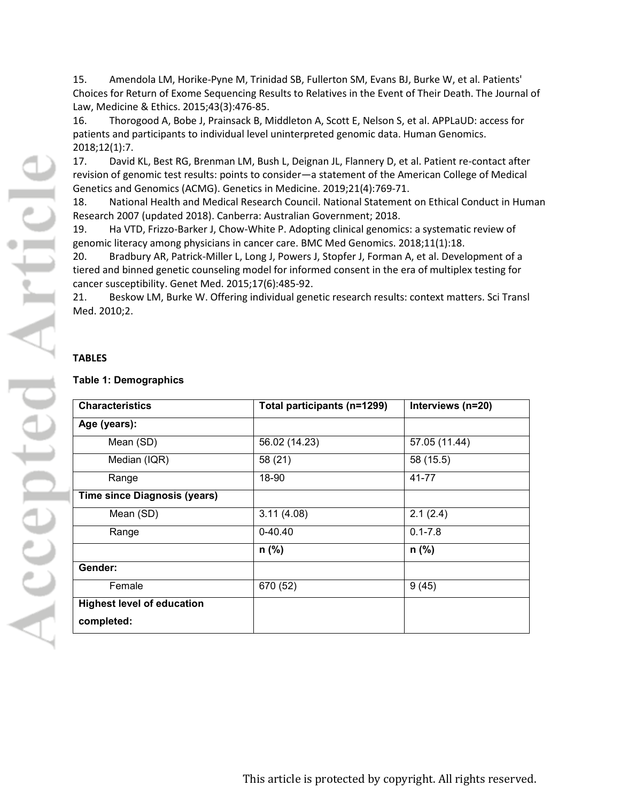15. Amendola LM, Horike-Pyne M, Trinidad SB, Fullerton SM, Evans BJ, Burke W, et al. Patients' Choices for Return of Exome Sequencing Results to Relatives in the Event of Their Death. The Journal of Law, Medicine & Ethics. 2015;43(3):476-85.

<span id="page-15-0"></span>16. Thorogood A, Bobe J, Prainsack B, Middleton A, Scott E, Nelson S, et al. APPLaUD: access for patients and participants to individual level uninterpreted genomic data. Human Genomics. 2018;12(1):7.

<span id="page-15-1"></span>17. David KL, Best RG, Brenman LM, Bush L, Deignan JL, Flannery D, et al. Patient re-contact after revision of genomic test results: points to consider—a statement of the American College of Medical Genetics and Genomics (ACMG). Genetics in Medicine. 2019;21(4):769-71.

<span id="page-15-2"></span>18. National Health and Medical Research Council. National Statement on Ethical Conduct in Human Research 2007 (updated 2018). Canberra: Australian Government; 2018.

<span id="page-15-3"></span>19. Ha VTD, Frizzo-Barker J, Chow-White P. Adopting clinical genomics: a systematic review of genomic literacy among physicians in cancer care. BMC Med Genomics. 2018;11(1):18.

<span id="page-15-4"></span>20. Bradbury AR, Patrick-Miller L, Long J, Powers J, Stopfer J, Forman A, et al. Development of a tiered and binned genetic counseling model for informed consent in the era of multiplex testing for cancer susceptibility. Genet Med. 2015;17(6):485-92.

<span id="page-15-5"></span>21. Beskow LM, Burke W. Offering individual genetic research results: context matters. Sci Transl Med. 2010;2.

# **TABLES**

# **Table 1: Demographics**

| <b>Characteristics</b>              | Total participants (n=1299) | Interviews (n=20) |
|-------------------------------------|-----------------------------|-------------------|
| Age (years):                        |                             |                   |
| Mean (SD)                           | 56.02 (14.23)               | 57.05 (11.44)     |
| Median (IQR)                        | 58 (21)                     | 58 (15.5)         |
| Range                               | 18-90                       | 41-77             |
| <b>Time since Diagnosis (years)</b> |                             |                   |
| Mean (SD)                           | 3.11(4.08)                  | 2.1(2.4)          |
| Range                               | $0 - 40.40$                 | $0.1 - 7.8$       |
|                                     | n (%)                       | $n$ (%)           |
| Gender:                             |                             |                   |
| Female                              | 670 (52)                    | 9(45)             |
| <b>Highest level of education</b>   |                             |                   |
| completed:                          |                             |                   |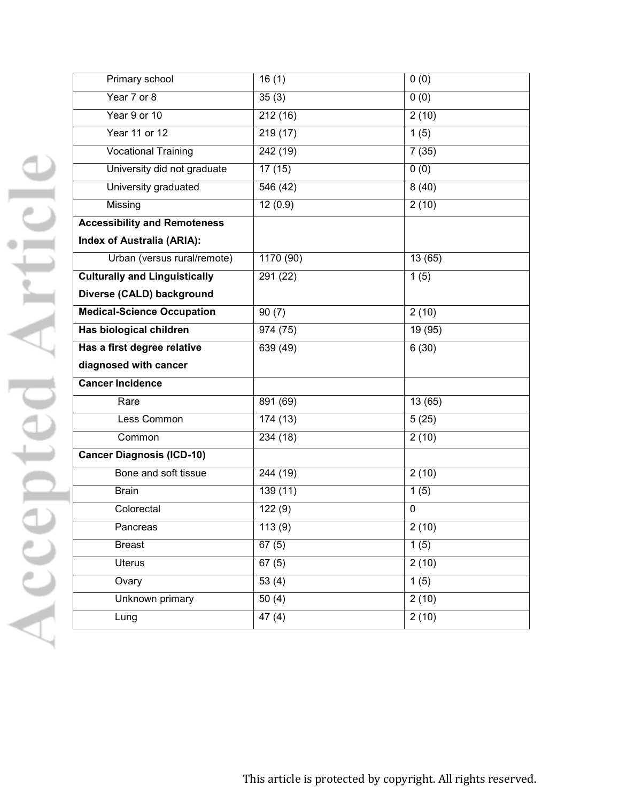| Primary school                       | 16(1)                 | 0(0)    |
|--------------------------------------|-----------------------|---------|
| Year 7 or 8                          | 35(3)                 | 0(0)    |
| Year 9 or 10                         | 212(16)               | 2(10)   |
| Year 11 or 12                        | 219(17)               | 1(5)    |
| <b>Vocational Training</b>           | 242 (19)              | 7(35)   |
| University did not graduate          | 17(15)                | 0(0)    |
| University graduated                 | 546 (42)              | 8(40)   |
| Missing                              | 12(0.9)               | 2(10)   |
| <b>Accessibility and Remoteness</b>  |                       |         |
| <b>Index of Australia (ARIA):</b>    |                       |         |
| Urban (versus rural/remote)          | 1170 (90)             | 13(65)  |
| <b>Culturally and Linguistically</b> | $\overline{291}$ (22) | 1(5)    |
| Diverse (CALD) background            |                       |         |
| <b>Medical-Science Occupation</b>    | 90(7)                 | 2(10)   |
| Has biological children              | 974 (75)              | 19 (95) |
| Has a first degree relative          | 639 (49)              | 6(30)   |
| diagnosed with cancer                |                       |         |
| <b>Cancer Incidence</b>              |                       |         |
| Rare                                 | 891 (69)              | 13(65)  |
| Less Common                          | 174 (13)              | 5(25)   |
| Common                               | 234 (18)              | 2(10)   |
| <b>Cancer Diagnosis (ICD-10)</b>     |                       |         |
| Bone and soft tissue                 | 244 (19)              | 2(10)   |
| <b>Brain</b>                         | 139(11)               | 1(5)    |
| Colorectal                           | 122(9)                | 0       |
| Pancreas                             | 113(9)                | 2(10)   |
| <b>Breast</b>                        | 67(5)                 | 1(5)    |
| <b>Uterus</b>                        | 67(5)                 | 2(10)   |
| Ovary                                | 53(4)                 | 1(5)    |
| Unknown primary                      | 50(4)                 | 2(10)   |
| Lung                                 | 47(4)                 | 2(10)   |
|                                      |                       |         |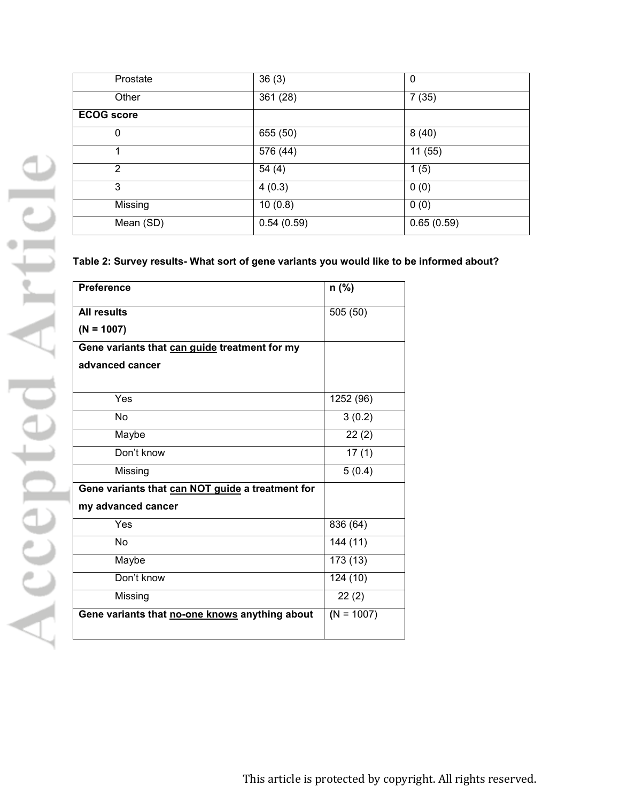| Prostate          | 36(3)      | 0          |
|-------------------|------------|------------|
| Other             | 361 (28)   | 7(35)      |
| <b>ECOG</b> score |            |            |
| $\mathbf{0}$      | 655 (50)   | 8(40)      |
|                   | 576 (44)   | 11(55)     |
| $\overline{2}$    | 54(4)      | 1(5)       |
| 3                 | 4(0.3)     | 0(0)       |
| Missing           | 10(0.8)    | 0(0)       |
| Mean (SD)         | 0.54(0.59) | 0.65(0.59) |

# **Table 2: Survey results- What sort of gene variants you would like to be informed about?**

| <b>Preference</b>                                | n (%)        |
|--------------------------------------------------|--------------|
| <b>All results</b>                               | 505 (50)     |
| $(N = 1007)$                                     |              |
| Gene variants that can guide treatment for my    |              |
| advanced cancer                                  |              |
|                                                  |              |
| Yes                                              | 1252 (96)    |
| <b>No</b>                                        | 3(0.2)       |
| Maybe                                            | 22(2)        |
| Don't know                                       | 17(1)        |
| Missing                                          | 5(0.4)       |
| Gene variants that can NOT guide a treatment for |              |
| my advanced cancer                               |              |
| Yes                                              | 836 (64)     |
| No                                               | 144 (11)     |
| Maybe                                            | 173 (13)     |
| Don't know                                       | 124 (10)     |
| Missing                                          | 22(2)        |
| Gene variants that no-one knows anything about   | $(N = 1007)$ |
|                                                  |              |